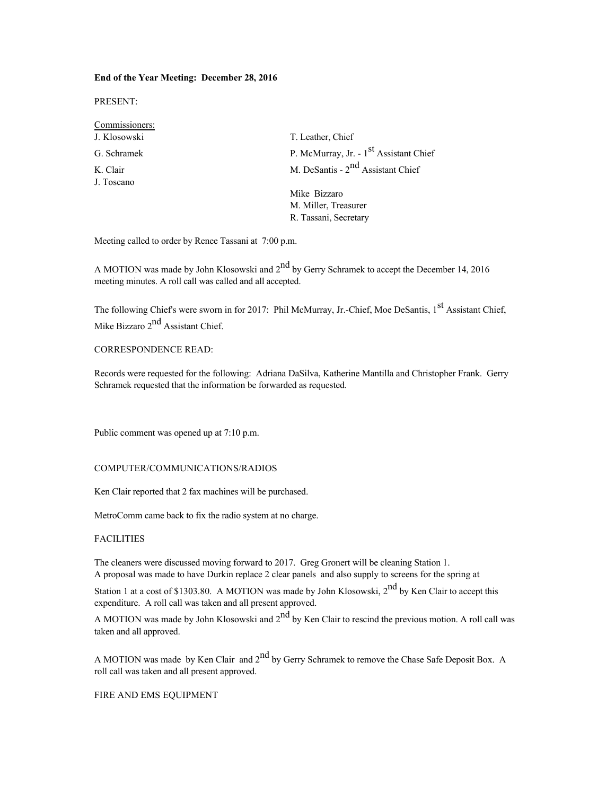# **End of the Year Meeting: December 28, 2016**

PRESENT:

| Commissioners: |                                                    |
|----------------|----------------------------------------------------|
| J. Klosowski   | T. Leather, Chief                                  |
| G. Schramek    | P. McMurray, Jr. - 1 <sup>st</sup> Assistant Chief |
| K. Clair       | M. DeSantis - 2 <sup>nd</sup> Assistant Chief      |
| J. Toscano     |                                                    |
|                | Mike Bizzaro                                       |
|                | M. Miller, Treasurer                               |
|                | R. Tassani, Secretary                              |

Meeting called to order by Renee Tassani at 7:00 p.m.

A MOTION was made by John Klosowski and 2<sup>nd</sup> by Gerry Schramek to accept the December 14, 2016 meeting minutes. A roll call was called and all accepted.

The following Chief's were sworn in for 2017: Phil McMurray, Jr.-Chief, Moe DeSantis, 1<sup>st</sup> Assistant Chief. Mike Bizzaro 2<sup>nd</sup> Assistant Chief.

# CORRESPONDENCE READ:

Records were requested for the following: Adriana DaSilva, Katherine Mantilla and Christopher Frank. Gerry Schramek requested that the information be forwarded as requested.

Public comment was opened up at 7:10 p.m.

### COMPUTER/COMMUNICATIONS/RADIOS

Ken Clair reported that 2 fax machines will be purchased.

MetroComm came back to fix the radio system at no charge.

# **FACILITIES**

The cleaners were discussed moving forward to 2017. Greg Gronert will be cleaning Station 1. A proposal was made to have Durkin replace 2 clear panels and also supply to screens for the spring at

Station 1 at a cost of \$1303.80. A MOTION was made by John Klosowski, 2<sup>nd</sup> by Ken Clair to accept this expenditure. A roll call was taken and all present approved.

A MOTION was made by John Klosowski and  $2<sup>nd</sup>$  by Ken Clair to rescind the previous motion. A roll call was taken and all approved.

A MOTION was made by Ken Clair and  $2<sup>nd</sup>$  by Gerry Schramek to remove the Chase Safe Deposit Box. A roll call was taken and all present approved.

FIRE AND EMS EQUIPMENT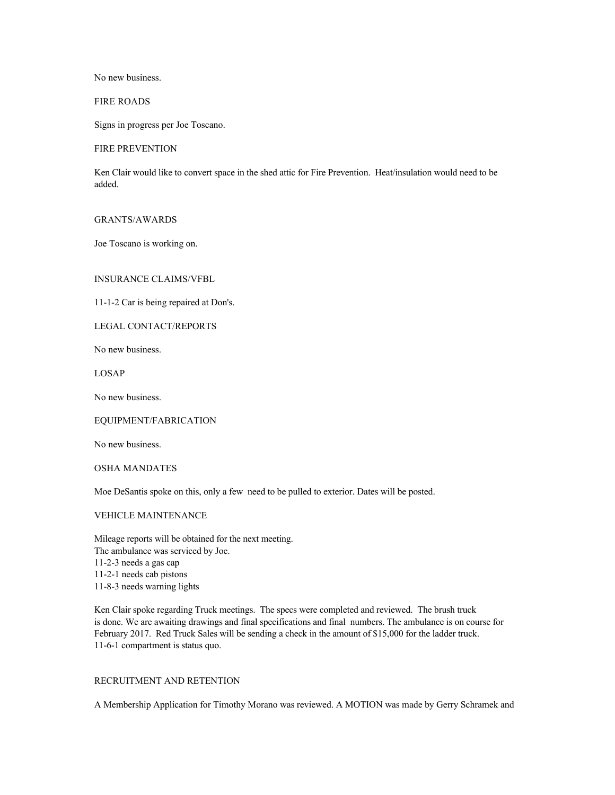No new business.

FIRE ROADS

Signs in progress per Joe Toscano.

#### FIRE PREVENTION

Ken Clair would like to convert space in the shed attic for Fire Prevention. Heat/insulation would need to be added.

#### GRANTS/AWARDS

Joe Toscano is working on.

# INSURANCE CLAIMS/VFBL

11-1-2 Car is being repaired at Don's.

LEGAL CONTACT/REPORTS

No new business.

LOSAP

No new business.

EQUIPMENT/FABRICATION

No new business.

OSHA MANDATES

Moe DeSantis spoke on this, only a few need to be pulled to exterior. Dates will be posted.

# VEHICLE MAINTENANCE

Mileage reports will be obtained for the next meeting. The ambulance was serviced by Joe. 11-2-3 needs a gas cap 11-2-1 needs cab pistons 11-8-3 needs warning lights

Ken Clair spoke regarding Truck meetings. The specs were completed and reviewed. The brush truck is done. We are awaiting drawings and final specifications and final numbers. The ambulance is on course for February 2017. Red Truck Sales will be sending a check in the amount of \$15,000 for the ladder truck. 11-6-1 compartment is status quo.

# RECRUITMENT AND RETENTION

A Membership Application for Timothy Morano was reviewed. A MOTION was made by Gerry Schramek and